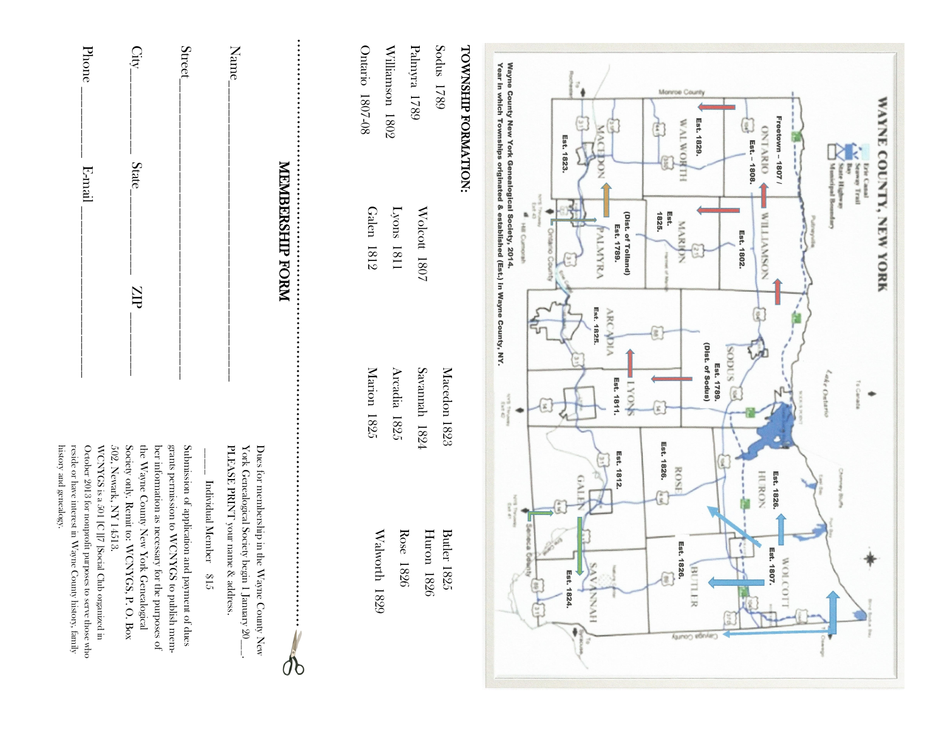